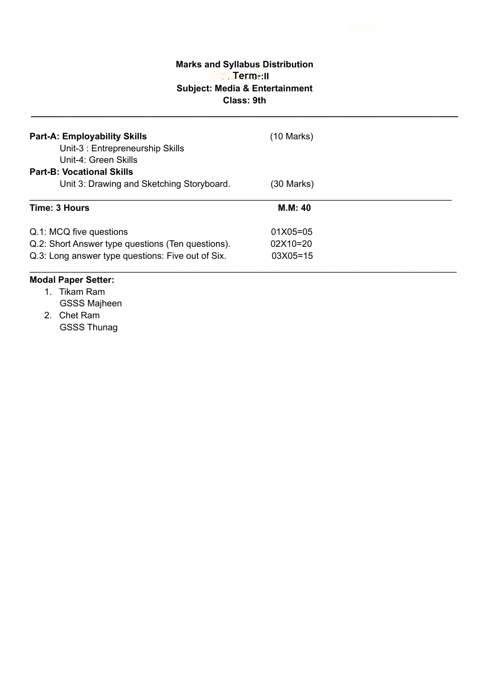# **Marks and Syllabus Distribution Semester:II Subject: Media & Entertainment Class: 9th IIIIIIIIIIII**<br>IIII<br>Album Term-:II

**\_\_\_\_\_\_\_\_\_\_\_\_\_\_\_\_\_\_\_\_\_\_\_\_\_\_\_\_\_\_\_\_\_\_\_\_\_\_\_\_\_\_\_\_\_\_\_\_\_\_\_\_\_\_\_\_\_\_\_\_\_\_\_\_\_\_\_\_\_\_\_\_\_\_\_\_\_\_\_\_\_\_\_\_\_**

| <b>Part-A: Employability Skills</b><br>Unit-3 : Entrepreneurship Skills<br>Unit-4: Green Skills<br><b>Part-B: Vocational Skills</b> | (10 Marks)   |  |
|-------------------------------------------------------------------------------------------------------------------------------------|--------------|--|
| Unit 3: Drawing and Sketching Storyboard.                                                                                           | (30 Marks)   |  |
| <b>Time: 3 Hours</b>                                                                                                                | M.M: 40      |  |
| Q.1: MCQ five questions                                                                                                             | $01X05 = 05$ |  |
| Q.2: Short Answer type questions (Ten questions).                                                                                   | $02X10=20$   |  |
| Q.3: Long answer type questions: Five out of Six.                                                                                   | $03X05 = 15$ |  |

- 1. Tikam Ram
	- GSSS Majheen
- 2. Chet Ram GSSS Thunag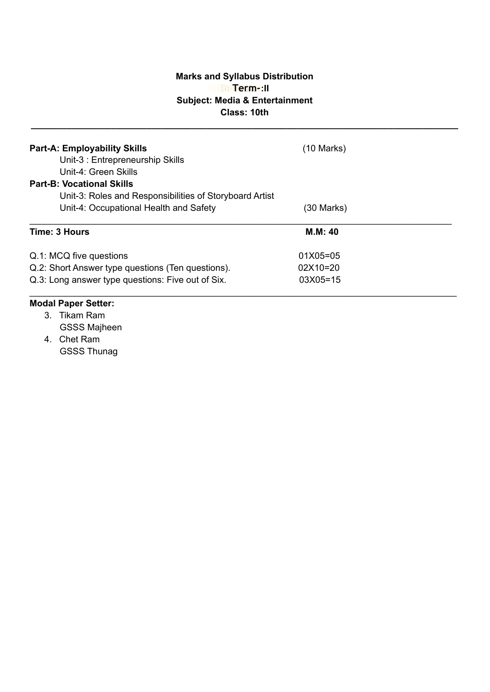#### **Marks and Syllabus Distribution Semester:II IIIIIIIIIIIIIIIIIII IIIIIIIIIII IIIIIIIIIIIIIIII IIIIIIIIIIIIIIIIII Term-Subject: Media & Entertainment Class: 10th**

**\_\_\_\_\_\_\_\_\_\_\_\_\_\_\_\_\_\_\_\_\_\_\_\_\_\_\_\_\_\_\_\_\_\_\_\_\_\_\_\_\_\_\_\_\_\_\_\_\_\_\_\_\_\_\_\_\_\_\_\_\_\_\_\_\_\_\_\_\_\_\_\_\_\_\_\_\_\_\_\_\_\_\_\_\_**

| <b>Part-A: Employability Skills</b>                     |              |  |  |  |
|---------------------------------------------------------|--------------|--|--|--|
| Unit-3: Entrepreneurship Skills                         |              |  |  |  |
| Unit-4: Green Skills                                    |              |  |  |  |
| <b>Part-B: Vocational Skills</b>                        |              |  |  |  |
| Unit-3: Roles and Responsibilities of Storyboard Artist |              |  |  |  |
| Unit-4: Occupational Health and Safety                  | (30 Marks)   |  |  |  |
| Time: 3 Hours                                           | M.M: 40      |  |  |  |
| Q.1: MCQ five questions                                 | $01X05 = 05$ |  |  |  |
| Q.2: Short Answer type questions (Ten questions).       | 02X10=20     |  |  |  |
| Q.3: Long answer type questions: Five out of Six.       | $03X05 = 15$ |  |  |  |
|                                                         |              |  |  |  |

- 3. Tikam Ram GSSS Majheen
- 4. Chet Ram GSSS Thunag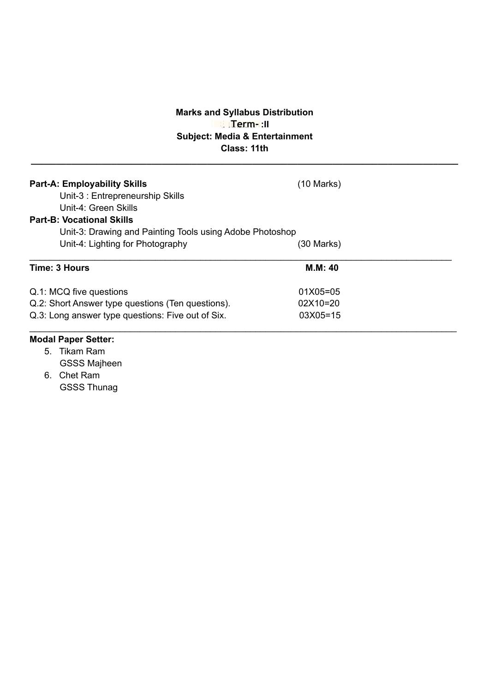### **Marks and Syllabus Distribution IIII III III III Subject: Media & Entertainment Class: 11th**

**\_\_\_\_\_\_\_\_\_\_\_\_\_\_\_\_\_\_\_\_\_\_\_\_\_\_\_\_\_\_\_\_\_\_\_\_\_\_\_\_\_\_\_\_\_\_\_\_\_\_\_\_\_\_\_\_\_\_\_\_\_\_\_\_\_\_\_\_\_\_\_\_\_\_\_\_\_\_\_\_\_\_\_\_\_**

| <b>Part-A: Employability Skills</b><br>Unit-3: Entrepreneurship Skills<br>Unit-4: Green Skills<br><b>Part-B: Vocational Skills</b> | $(10 \text{ Marks})$ |  |  |  |
|------------------------------------------------------------------------------------------------------------------------------------|----------------------|--|--|--|
| Unit-3: Drawing and Painting Tools using Adobe Photoshop                                                                           |                      |  |  |  |
| Unit-4: Lighting for Photography                                                                                                   | (30 Marks)           |  |  |  |
| Time: 3 Hours                                                                                                                      | <b>M.M: 40</b>       |  |  |  |
| Q.1: MCQ five questions                                                                                                            | 01X05=05             |  |  |  |
| Q.2: Short Answer type questions (Ten questions).                                                                                  | 02X10=20             |  |  |  |
| Q.3: Long answer type questions: Five out of Six.                                                                                  | 03X05=15             |  |  |  |
| Modal Danor Sottor:                                                                                                                |                      |  |  |  |

- 5. Tikam Ram GSSS Majheen
- 6. Chet Ram GSSS Thunag